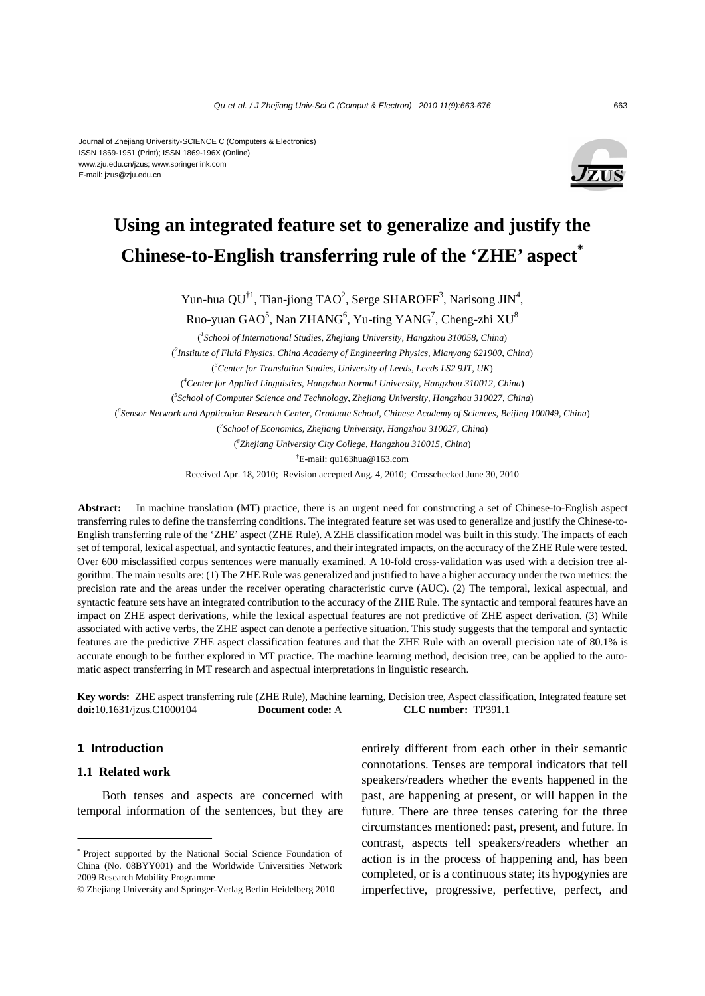#### Journal of Zhejiang University-SCIENCE C (Computers & Electronics) ISSN 1869-1951 (Print); ISSN 1869-196X (Online) www.zju.edu.cn/jzus; www.springerlink.com E-mail: jzus@zju.edu.cn



# **Using an integrated feature set to generalize and justify the Chinese-to-English transferring rule of the 'ZHE' aspect\***

Yun-hua  $QU^{\dagger 1}$ , Tian-jiong TAO<sup>2</sup>, Serge SHAROFF<sup>3</sup>, Narisong JIN<sup>4</sup>,

Ruo-yuan GAO<sup>5</sup>, Nan ZHANG<sup>6</sup>, Yu-ting YANG<sup>7</sup>, Cheng-zhi XU<sup>8</sup>

( *1 School of International Studies, Zhejiang University, Hangzhou 310058, China*) ( *2 Institute of Fluid Physics, China Academy of Engineering Physics, Mianyang 621900, China*) ( *3 Center for Translation Studies, University of Leeds, Leeds LS2 9JT, UK*) ( *4 Center for Applied Linguistics, Hangzhou Normal University, Hangzhou 310012, China*) ( *5 School of Computer Science and Technology, Zhejiang University, Hangzhou 310027, China*) ( *6 Sensor Network and Application Research Center, Graduate School, Chinese Academy of Sciences, Beijing 100049, China*) ( *7 School of Economics, Zhejiang University, Hangzhou 310027, China*) ( *8 Zhejiang University City College, Hangzhou 310015, China*) † E-mail: qu163hua@163.com

Received Apr. 18, 2010; Revision accepted Aug. 4, 2010; Crosschecked June 30, 2010

**Abstract:** In machine translation (MT) practice, there is an urgent need for constructing a set of Chinese-to-English aspect transferring rules to define the transferring conditions. The integrated feature set was used to generalize and justify the Chinese-to-English transferring rule of the 'ZHE' aspect (ZHE Rule). A ZHE classification model was built in this study. The impacts of each set of temporal, lexical aspectual, and syntactic features, and their integrated impacts, on the accuracy of the ZHE Rule were tested. Over 600 misclassified corpus sentences were manually examined. A 10-fold cross-validation was used with a decision tree algorithm. The main results are: (1) The ZHE Rule was generalized and justified to have a higher accuracy under the two metrics: the precision rate and the areas under the receiver operating characteristic curve (AUC). (2) The temporal, lexical aspectual, and syntactic feature sets have an integrated contribution to the accuracy of the ZHE Rule. The syntactic and temporal features have an impact on ZHE aspect derivations, while the lexical aspectual features are not predictive of ZHE aspect derivation. (3) While associated with active verbs, the ZHE aspect can denote a perfective situation. This study suggests that the temporal and syntactic features are the predictive ZHE aspect classification features and that the ZHE Rule with an overall precision rate of 80.1% is accurate enough to be further explored in MT practice. The machine learning method, decision tree, can be applied to the automatic aspect transferring in MT research and aspectual interpretations in linguistic research.

**Key words:** ZHE aspect transferring rule (ZHE Rule), Machine learning, Decision tree, Aspect classification, Integrated feature set **doi:**10.1631/jzus.C1000104 **Document code:** A **CLC number:** TP391.1

## **1 Introduction**

### **1.1 Related work**

Both tenses and aspects are concerned with temporal information of the sentences, but they are

entirely different from each other in their semantic connotations. Tenses are temporal indicators that tell speakers/readers whether the events happened in the past, are happening at present, or will happen in the future. There are three tenses catering for the three circumstances mentioned: past, present, and future. In contrast, aspects tell speakers/readers whether an action is in the process of happening and, has been completed, or is a continuous state; its hypogynies are imperfective, progressive, perfective, perfect, and

<sup>\*</sup> Project supported by the National Social Science Foundation of China (No. 08BYY001) and the Worldwide Universities Network 2009 Research Mobility Programme

<sup>©</sup> Zhejiang University and Springer-Verlag Berlin Heidelberg 2010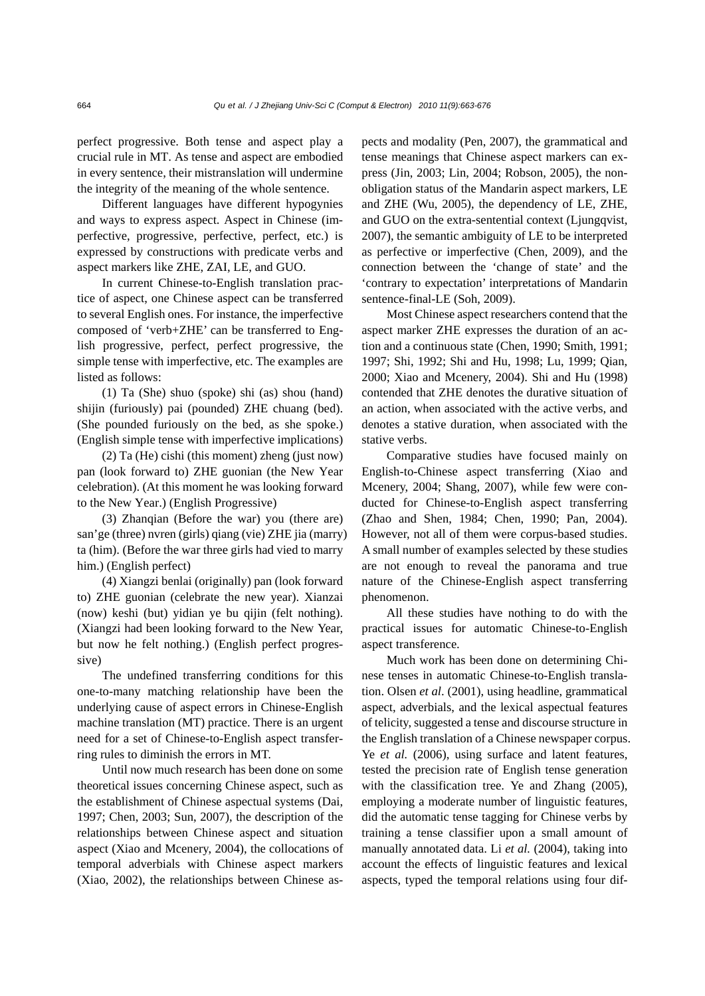perfect progressive. Both tense and aspect play a crucial rule in MT. As tense and aspect are embodied in every sentence, their mistranslation will undermine the integrity of the meaning of the whole sentence.

Different languages have different hypogynies and ways to express aspect. Aspect in Chinese (imperfective, progressive, perfective, perfect, etc.) is expressed by constructions with predicate verbs and aspect markers like ZHE, ZAI, LE, and GUO.

In current Chinese-to-English translation practice of aspect, one Chinese aspect can be transferred to several English ones. For instance, the imperfective composed of 'verb+ZHE' can be transferred to English progressive, perfect, perfect progressive, the simple tense with imperfective, etc. The examples are listed as follows:

(1) Ta (She) shuo (spoke) shi (as) shou (hand) shijin (furiously) pai (pounded) ZHE chuang (bed). (She pounded furiously on the bed, as she spoke.) (English simple tense with imperfective implications)

(2) Ta (He) cishi (this moment) zheng (just now) pan (look forward to) ZHE guonian (the New Year celebration). (At this moment he was looking forward to the New Year.) (English Progressive)

(3) Zhanqian (Before the war) you (there are) san'ge (three) nvren (girls) qiang (vie) ZHE jia (marry) ta (him). (Before the war three girls had vied to marry him.) (English perfect)

(4) Xiangzi benlai (originally) pan (look forward to) ZHE guonian (celebrate the new year). Xianzai (now) keshi (but) yidian ye bu qijin (felt nothing). (Xiangzi had been looking forward to the New Year, but now he felt nothing.) (English perfect progressive)

The undefined transferring conditions for this one-to-many matching relationship have been the underlying cause of aspect errors in Chinese-English machine translation (MT) practice. There is an urgent need for a set of Chinese-to-English aspect transferring rules to diminish the errors in MT.

Until now much research has been done on some theoretical issues concerning Chinese aspect, such as the establishment of Chinese aspectual systems (Dai, 1997; Chen, 2003; Sun, 2007), the description of the relationships between Chinese aspect and situation aspect (Xiao and Mcenery, 2004), the collocations of temporal adverbials with Chinese aspect markers (Xiao, 2002), the relationships between Chinese aspects and modality (Pen, 2007), the grammatical and tense meanings that Chinese aspect markers can express (Jin, 2003; Lin, 2004; Robson, 2005), the nonobligation status of the Mandarin aspect markers, LE and ZHE (Wu, 2005), the dependency of LE, ZHE, and GUO on the extra-sentential context (Ljungqvist, 2007), the semantic ambiguity of LE to be interpreted as perfective or imperfective (Chen, 2009), and the connection between the 'change of state' and the 'contrary to expectation' interpretations of Mandarin sentence-final-LE (Soh, 2009).

Most Chinese aspect researchers contend that the aspect marker ZHE expresses the duration of an action and a continuous state (Chen, 1990; Smith, 1991; 1997; Shi, 1992; Shi and Hu, 1998; Lu, 1999; Qian, 2000; Xiao and Mcenery, 2004). Shi and Hu (1998) contended that ZHE denotes the durative situation of an action, when associated with the active verbs, and denotes a stative duration, when associated with the stative verbs.

Comparative studies have focused mainly on English-to-Chinese aspect transferring (Xiao and Mcenery, 2004; Shang, 2007), while few were conducted for Chinese-to-English aspect transferring (Zhao and Shen, 1984; Chen, 1990; Pan, 2004). However, not all of them were corpus-based studies. A small number of examples selected by these studies are not enough to reveal the panorama and true nature of the Chinese-English aspect transferring phenomenon.

All these studies have nothing to do with the practical issues for automatic Chinese-to-English aspect transference.

Much work has been done on determining Chinese tenses in automatic Chinese-to-English translation. Olsen *et al*. (2001), using headline, grammatical aspect, adverbials, and the lexical aspectual features of telicity, suggested a tense and discourse structure in the English translation of a Chinese newspaper corpus. Ye *et al.* (2006), using surface and latent features, tested the precision rate of English tense generation with the classification tree. Ye and Zhang (2005), employing a moderate number of linguistic features, did the automatic tense tagging for Chinese verbs by training a tense classifier upon a small amount of manually annotated data. Li *et al.* (2004), taking into account the effects of linguistic features and lexical aspects, typed the temporal relations using four dif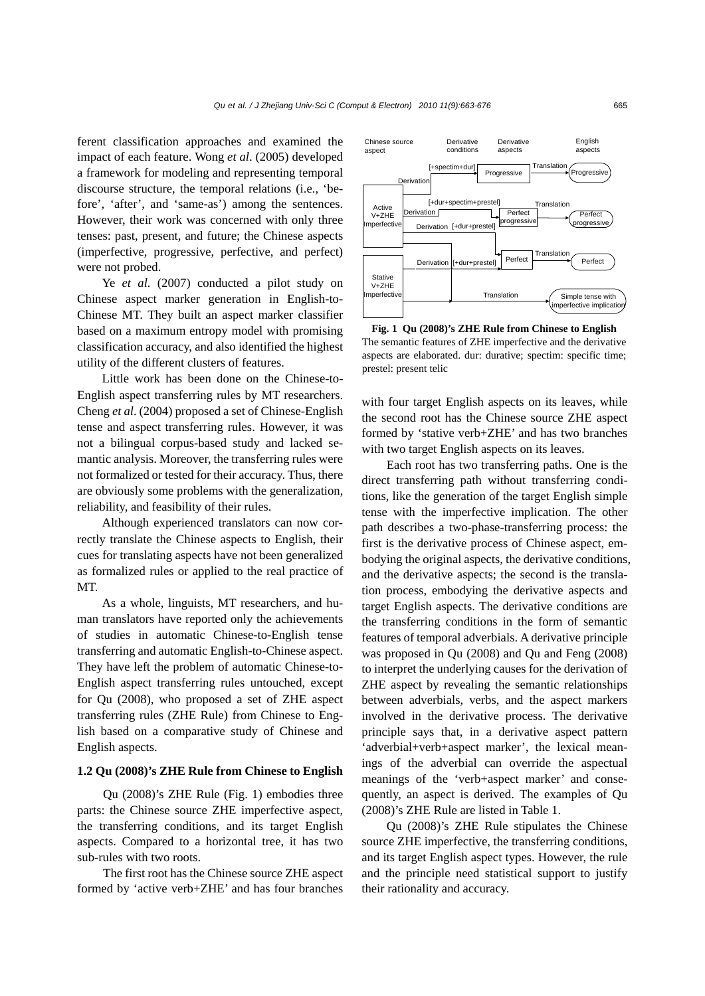ferent classification approaches and examined the impact of each feature. Wong *et al*. (2005) developed a framework for modeling and representing temporal discourse structure, the temporal relations (i.e., 'before', 'after', and 'same-as') among the sentences. However, their work was concerned with only three tenses: past, present, and future; the Chinese aspects (imperfective, progressive, perfective, and perfect) were not probed.

Ye *et al.* (2007) conducted a pilot study on Chinese aspect marker generation in English-to-Chinese MT. They built an aspect marker classifier based on a maximum entropy model with promising classification accuracy, and also identified the highest utility of the different clusters of features.

Little work has been done on the Chinese-to-English aspect transferring rules by MT researchers. Cheng *et al*. (2004) proposed a set of Chinese-English tense and aspect transferring rules. However, it was not a bilingual corpus-based study and lacked semantic analysis. Moreover, the transferring rules were not formalized or tested for their accuracy. Thus, there are obviously some problems with the generalization, reliability, and feasibility of their rules.

Although experienced translators can now correctly translate the Chinese aspects to English, their cues for translating aspects have not been generalized as formalized rules or applied to the real practice of MT.

As a whole, linguists, MT researchers, and human translators have reported only the achievements of studies in automatic Chinese-to-English tense transferring and automatic English-to-Chinese aspect. They have left the problem of automatic Chinese-to-English aspect transferring rules untouched, except for Qu (2008), who proposed a set of ZHE aspect transferring rules (ZHE Rule) from Chinese to English based on a comparative study of Chinese and English aspects.

### **1.2 Qu (2008)'s ZHE Rule from Chinese to English**

Qu (2008)'s ZHE Rule (Fig. 1) embodies three parts: the Chinese source ZHE imperfective aspect, the transferring conditions, and its target English aspects. Compared to a horizontal tree, it has two sub-rules with two roots.

The first root has the Chinese source ZHE aspect formed by 'active verb+ZHE' and has four branches



**Fig. 1 Qu (2008)'s ZHE Rule from Chinese to English** The semantic features of ZHE imperfective and the derivative aspects are elaborated. dur: durative; spectim: specific time; prestel: present telic

with four target English aspects on its leaves, while the second root has the Chinese source ZHE aspect formed by 'stative verb+ZHE' and has two branches with two target English aspects on its leaves.

Each root has two transferring paths. One is the direct transferring path without transferring conditions, like the generation of the target English simple tense with the imperfective implication. The other path describes a two-phase-transferring process: the first is the derivative process of Chinese aspect, embodying the original aspects, the derivative conditions, and the derivative aspects; the second is the translation process, embodying the derivative aspects and target English aspects. The derivative conditions are the transferring conditions in the form of semantic features of temporal adverbials. A derivative principle was proposed in Qu (2008) and Qu and Feng (2008) to interpret the underlying causes for the derivation of ZHE aspect by revealing the semantic relationships between adverbials, verbs, and the aspect markers involved in the derivative process. The derivative principle says that, in a derivative aspect pattern 'adverbial+verb+aspect marker', the lexical meanings of the adverbial can override the aspectual meanings of the 'verb+aspect marker' and consequently, an aspect is derived. The examples of Qu (2008)'s ZHE Rule are listed in Table 1.

Qu (2008)'s ZHE Rule stipulates the Chinese source ZHE imperfective, the transferring conditions, and its target English aspect types. However, the rule and the principle need statistical support to justify their rationality and accuracy.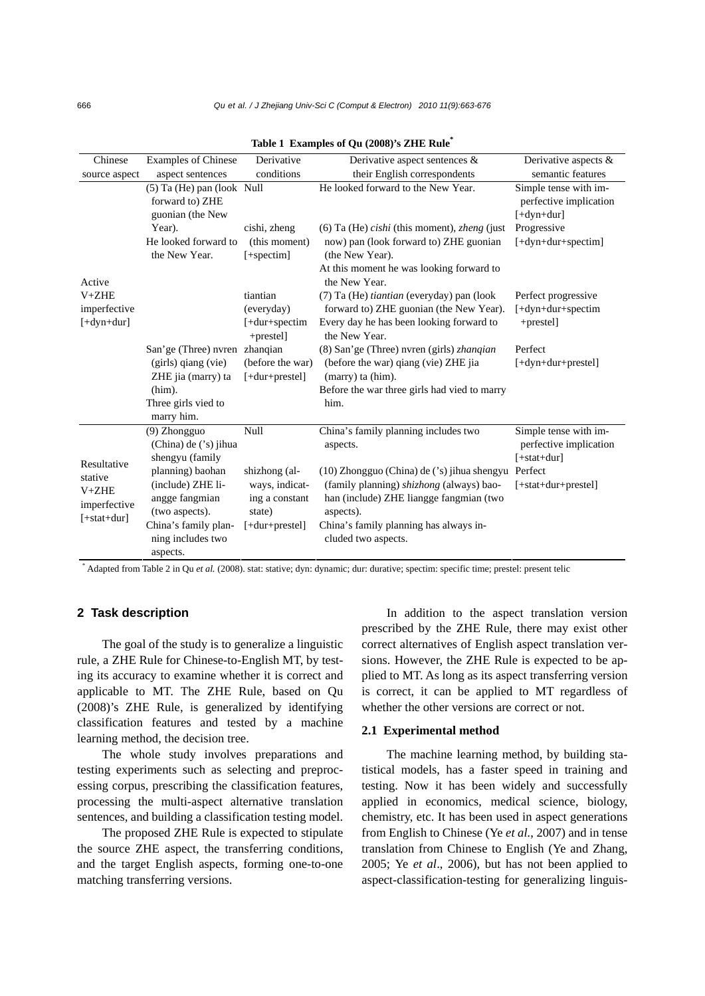| Chinese                                                            | <b>Examples of Chinese</b>                                                                                                         | Derivative                                                                      | Derivative aspect sentences &                                                                                                                                                                                        | Derivative aspects &                                              |
|--------------------------------------------------------------------|------------------------------------------------------------------------------------------------------------------------------------|---------------------------------------------------------------------------------|----------------------------------------------------------------------------------------------------------------------------------------------------------------------------------------------------------------------|-------------------------------------------------------------------|
| source aspect                                                      | aspect sentences                                                                                                                   | conditions                                                                      | their English correspondents                                                                                                                                                                                         | semantic features                                                 |
|                                                                    | (5) Ta (He) pan (look Null<br>forward to) ZHE<br>guonian (the New                                                                  |                                                                                 | He looked forward to the New Year.                                                                                                                                                                                   | Simple tense with im-<br>perfective implication<br>$[+dyn+dur]$   |
|                                                                    | Year).                                                                                                                             | cishi, zheng                                                                    | (6) Ta (He) <i>cishi</i> (this moment), <i>zheng</i> (just                                                                                                                                                           | Progressive                                                       |
|                                                                    | He looked forward to<br>the New Year.                                                                                              | (this moment)<br>$[+spectim]$                                                   | now) pan (look forward to) ZHE guonian<br>(the New Year).                                                                                                                                                            | $[+dyn+dur+spectim]$                                              |
| Active                                                             |                                                                                                                                    |                                                                                 | At this moment he was looking forward to<br>the New Year.                                                                                                                                                            |                                                                   |
| V+ZHE<br>imperfective<br>$[+dyn+dur]$                              |                                                                                                                                    | tiantian<br>(everyday)<br>$[+dur+spectim$<br>$+$ prestel                        | (7) Ta (He) tiantian (everyday) pan (look<br>forward to) ZHE guonian (the New Year).<br>Every day he has been looking forward to<br>the New Year.                                                                    | Perfect progressive<br>$[-dyn+dur+spectim$<br>+prestel]           |
|                                                                    | San'ge (Three) nvren<br>(girls) qiang (vie)<br>ZHE jia (marry) ta<br>$(him)$ .<br>Three girls vied to<br>marry him.                | zhanqian<br>(before the war)<br>$[-dur+present]$                                | (8) San'ge (Three) nvren (girls) zhanqian<br>(before the war) qiang (vie) ZHE jia<br>(marry) ta (him).<br>Before the war three girls had vied to marry<br>him.                                                       | Perfect<br>$[+dyn+dur+prestel]$                                   |
|                                                                    | (9) Zhongguo<br>(China) de ('s) jihua<br>shengyu (family                                                                           | Null                                                                            | China's family planning includes two<br>aspects.                                                                                                                                                                     | Simple tense with im-<br>perfective implication<br>$[ +stat+dur]$ |
| Resultative<br>stative<br>$V+ZHE$<br>imperfective<br>$[+stat+dur]$ | planning) baohan<br>(include) ZHE li-<br>angge fangmian<br>(two aspects).<br>China's family plan-<br>ning includes two<br>aspects. | shizhong (al-<br>ways, indicat-<br>ing a constant<br>state)<br>$[+dur+present]$ | $(10)$ Zhongguo (China) de $('s)$ jihua shengyu<br>(family planning) shizhong (always) bao-<br>han (include) ZHE liangge fangmian (two<br>aspects).<br>China's family planning has always in-<br>cluded two aspects. | Perfect<br>$[+stat+dur+present]$                                  |

|  |  | Table 1 Examples of Qu (2008)'s ZHE Rule <sup>*</sup> |
|--|--|-------------------------------------------------------|
|  |  |                                                       |

\* Adapted from Table 2 in Qu *et al.* (2008). stat: stative; dyn: dynamic; dur: durative; spectim: specific time; prestel: present telic

### **2 Task description**

The goal of the study is to generalize a linguistic rule, a ZHE Rule for Chinese-to-English MT, by testing its accuracy to examine whether it is correct and applicable to MT. The ZHE Rule, based on Qu (2008)'s ZHE Rule, is generalized by identifying classification features and tested by a machine learning method, the decision tree.

The whole study involves preparations and testing experiments such as selecting and preprocessing corpus, prescribing the classification features, processing the multi-aspect alternative translation sentences, and building a classification testing model.

The proposed ZHE Rule is expected to stipulate the source ZHE aspect, the transferring conditions, and the target English aspects, forming one-to-one matching transferring versions.

In addition to the aspect translation version prescribed by the ZHE Rule, there may exist other correct alternatives of English aspect translation versions. However, the ZHE Rule is expected to be applied to MT. As long as its aspect transferring version is correct, it can be applied to MT regardless of whether the other versions are correct or not.

### **2.1 Experimental method**

The machine learning method, by building statistical models, has a faster speed in training and testing. Now it has been widely and successfully applied in economics, medical science, biology, chemistry, etc. It has been used in aspect generations from English to Chinese (Ye *et al.*, 2007) and in tense translation from Chinese to English (Ye and Zhang, 2005; Ye *et al*., 2006), but has not been applied to aspect-classification-testing for generalizing linguis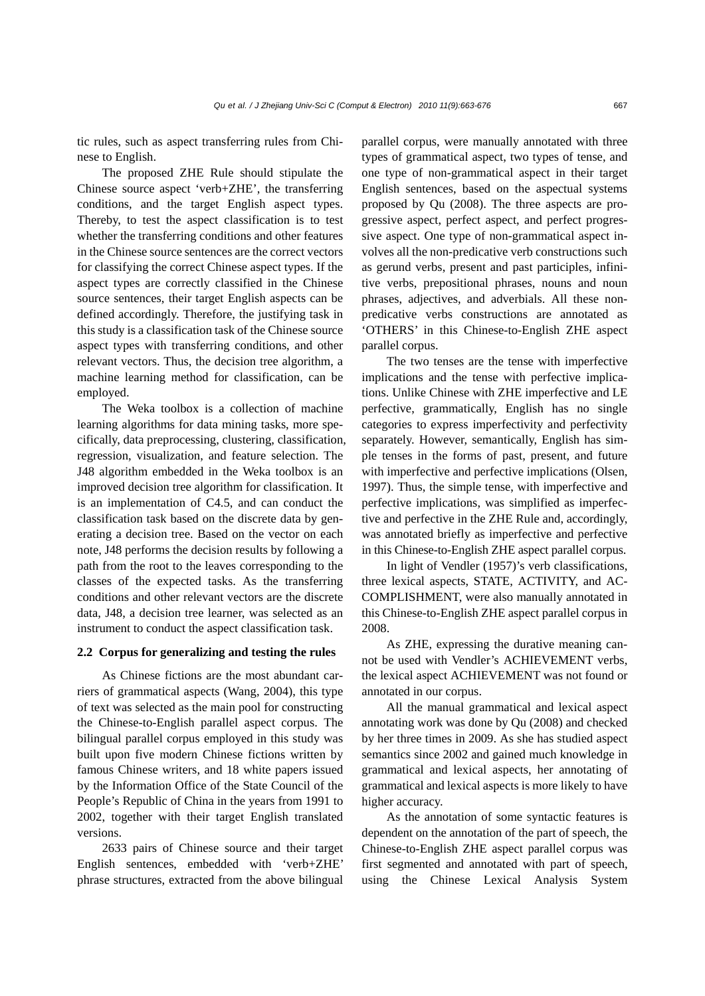tic rules, such as aspect transferring rules from Chinese to English.

The proposed ZHE Rule should stipulate the Chinese source aspect 'verb+ZHE', the transferring conditions, and the target English aspect types. Thereby, to test the aspect classification is to test whether the transferring conditions and other features in the Chinese source sentences are the correct vectors for classifying the correct Chinese aspect types. If the aspect types are correctly classified in the Chinese source sentences, their target English aspects can be defined accordingly. Therefore, the justifying task in this study is a classification task of the Chinese source aspect types with transferring conditions, and other relevant vectors. Thus, the decision tree algorithm, a machine learning method for classification, can be employed.

The Weka toolbox is a collection of machine learning algorithms for data mining tasks, more specifically, data preprocessing, clustering, classification, regression, visualization, and feature selection. The J48 algorithm embedded in the Weka toolbox is an improved decision tree algorithm for classification. It is an implementation of C4.5, and can conduct the classification task based on the discrete data by generating a decision tree. Based on the vector on each note, J48 performs the decision results by following a path from the root to the leaves corresponding to the classes of the expected tasks. As the transferring conditions and other relevant vectors are the discrete data, J48, a decision tree learner, was selected as an instrument to conduct the aspect classification task.

### **2.2 Corpus for generalizing and testing the rules**

As Chinese fictions are the most abundant carriers of grammatical aspects (Wang, 2004), this type of text was selected as the main pool for constructing the Chinese-to-English parallel aspect corpus. The bilingual parallel corpus employed in this study was built upon five modern Chinese fictions written by famous Chinese writers, and 18 white papers issued by the Information Office of the State Council of the People's Republic of China in the years from 1991 to 2002, together with their target English translated versions.

2633 pairs of Chinese source and their target English sentences, embedded with 'verb+ZHE' phrase structures, extracted from the above bilingual parallel corpus, were manually annotated with three types of grammatical aspect, two types of tense, and one type of non-grammatical aspect in their target English sentences, based on the aspectual systems proposed by Qu (2008). The three aspects are progressive aspect, perfect aspect, and perfect progressive aspect. One type of non-grammatical aspect involves all the non-predicative verb constructions such as gerund verbs, present and past participles, infinitive verbs, prepositional phrases, nouns and noun phrases, adjectives, and adverbials. All these nonpredicative verbs constructions are annotated as 'OTHERS' in this Chinese-to-English ZHE aspect parallel corpus.

The two tenses are the tense with imperfective implications and the tense with perfective implications. Unlike Chinese with ZHE imperfective and LE perfective, grammatically, English has no single categories to express imperfectivity and perfectivity separately. However, semantically, English has simple tenses in the forms of past, present, and future with imperfective and perfective implications (Olsen, 1997). Thus, the simple tense, with imperfective and perfective implications, was simplified as imperfective and perfective in the ZHE Rule and, accordingly, was annotated briefly as imperfective and perfective in this Chinese-to-English ZHE aspect parallel corpus.

In light of Vendler (1957)'s verb classifications, three lexical aspects, STATE, ACTIVITY, and AC-COMPLISHMENT, were also manually annotated in this Chinese-to-English ZHE aspect parallel corpus in 2008.

As ZHE, expressing the durative meaning cannot be used with Vendler's ACHIEVEMENT verbs, the lexical aspect ACHIEVEMENT was not found or annotated in our corpus.

All the manual grammatical and lexical aspect annotating work was done by Qu (2008) and checked by her three times in 2009. As she has studied aspect semantics since 2002 and gained much knowledge in grammatical and lexical aspects, her annotating of grammatical and lexical aspects is more likely to have higher accuracy.

As the annotation of some syntactic features is dependent on the annotation of the part of speech, the Chinese-to-English ZHE aspect parallel corpus was first segmented and annotated with part of speech, using the Chinese Lexical Analysis System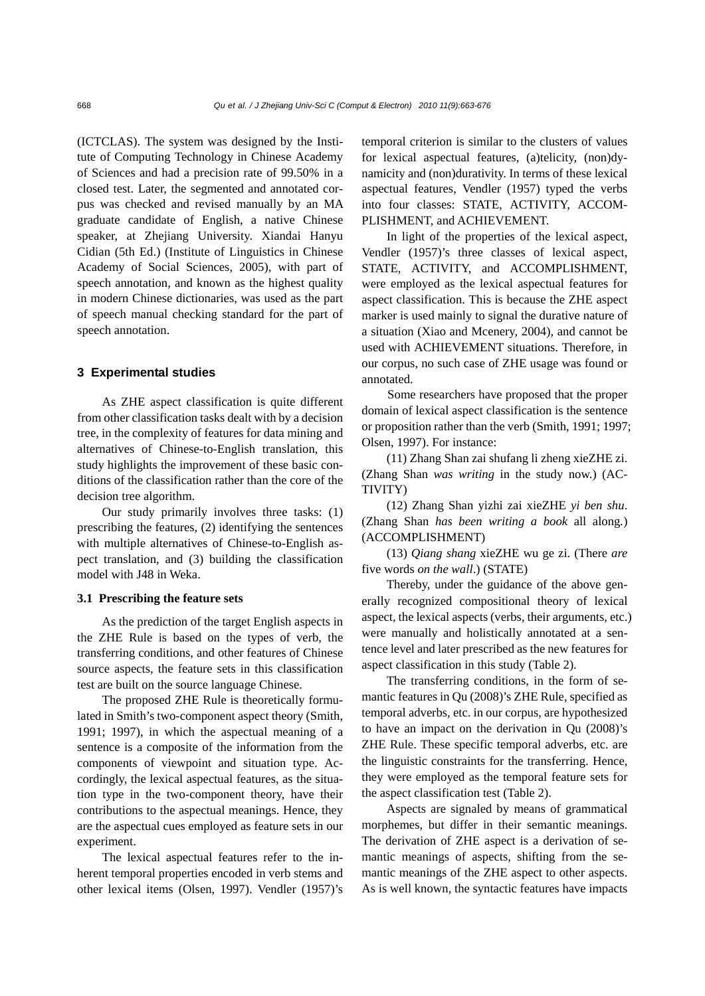(ICTCLAS). The system was designed by the Institute of Computing Technology in Chinese Academy of Sciences and had a precision rate of 99.50% in a closed test. Later, the segmented and annotated corpus was checked and revised manually by an MA graduate candidate of English, a native Chinese speaker, at Zhejiang University. Xiandai Hanyu Cidian (5th Ed.) (Institute of Linguistics in Chinese Academy of Social Sciences, 2005), with part of speech annotation, and known as the highest quality in modern Chinese dictionaries, was used as the part of speech manual checking standard for the part of speech annotation.

### **3 Experimental studies**

As ZHE aspect classification is quite different from other classification tasks dealt with by a decision tree, in the complexity of features for data mining and alternatives of Chinese-to-English translation, this study highlights the improvement of these basic conditions of the classification rather than the core of the decision tree algorithm.

Our study primarily involves three tasks: (1) prescribing the features, (2) identifying the sentences with multiple alternatives of Chinese-to-English aspect translation, and (3) building the classification model with J48 in Weka.

### **3.1 Prescribing the feature sets**

As the prediction of the target English aspects in the ZHE Rule is based on the types of verb, the transferring conditions, and other features of Chinese source aspects, the feature sets in this classification test are built on the source language Chinese.

The proposed ZHE Rule is theoretically formulated in Smith's two-component aspect theory (Smith, 1991; 1997), in which the aspectual meaning of a sentence is a composite of the information from the components of viewpoint and situation type. Accordingly, the lexical aspectual features, as the situation type in the two-component theory, have their contributions to the aspectual meanings. Hence, they are the aspectual cues employed as feature sets in our experiment.

The lexical aspectual features refer to the inherent temporal properties encoded in verb stems and other lexical items (Olsen, 1997). Vendler (1957)'s temporal criterion is similar to the clusters of values for lexical aspectual features, (a)telicity, (non)dynamicity and (non)durativity. In terms of these lexical aspectual features, Vendler (1957) typed the verbs into four classes: STATE, ACTIVITY, ACCOM-PLISHMENT, and ACHIEVEMENT.

In light of the properties of the lexical aspect, Vendler (1957)'s three classes of lexical aspect, STATE, ACTIVITY, and ACCOMPLISHMENT, were employed as the lexical aspectual features for aspect classification. This is because the ZHE aspect marker is used mainly to signal the durative nature of a situation (Xiao and Mcenery, 2004), and cannot be used with ACHIEVEMENT situations. Therefore, in our corpus, no such case of ZHE usage was found or annotated.

Some researchers have proposed that the proper domain of lexical aspect classification is the sentence or proposition rather than the verb (Smith, 1991; 1997; Olsen, 1997). For instance:

(11) Zhang Shan zai shufang li zheng xieZHE zi. (Zhang Shan *was writing* in the study now.) (AC-TIVITY)

(12) Zhang Shan yizhi zai xieZHE *yi ben shu*. (Zhang Shan *has been writing a book* all along*.*) (ACCOMPLISHMENT)

(13) *Qiang shang* xieZHE wu ge zi. (There *are* five words *on the wall*.) (STATE)

Thereby, under the guidance of the above generally recognized compositional theory of lexical aspect, the lexical aspects (verbs, their arguments, etc.) were manually and holistically annotated at a sentence level and later prescribed as the new features for aspect classification in this study (Table 2).

The transferring conditions, in the form of semantic features in Qu (2008)'s ZHE Rule, specified as temporal adverbs, etc. in our corpus, are hypothesized to have an impact on the derivation in Qu (2008)'s ZHE Rule. These specific temporal adverbs, etc. are the linguistic constraints for the transferring. Hence, they were employed as the temporal feature sets for the aspect classification test (Table 2).

Aspects are signaled by means of grammatical morphemes, but differ in their semantic meanings. The derivation of ZHE aspect is a derivation of semantic meanings of aspects, shifting from the semantic meanings of the ZHE aspect to other aspects. As is well known, the syntactic features have impacts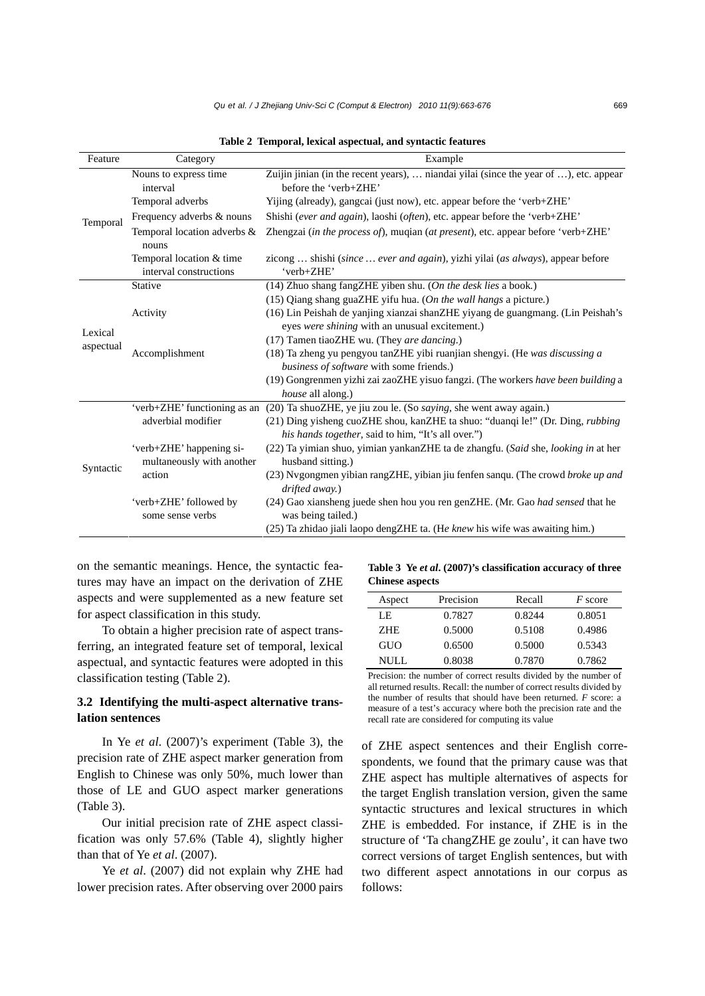| Feature   | Category                                              | Example                                                                                                                              |  |  |  |
|-----------|-------------------------------------------------------|--------------------------------------------------------------------------------------------------------------------------------------|--|--|--|
|           | Nouns to express time                                 | Zuijin jinian (in the recent years),  niandai yilai (since the year of ), etc. appear                                                |  |  |  |
|           | interval                                              | before the 'verb+ZHE'                                                                                                                |  |  |  |
| Temporal  | Temporal adverbs                                      | Yijing (already), gangcai (just now), etc. appear before the 'verb+ZHE'                                                              |  |  |  |
|           | Frequency adverbs & nouns                             | Shishi (ever and again), laoshi (often), etc. appear before the 'verb+ZHE'                                                           |  |  |  |
|           | Temporal location adverbs &<br>nouns                  | Zhengzai (in the process of), muqian (at present), etc. appear before 'verb+ZHE'                                                     |  |  |  |
|           | Temporal location & time<br>interval constructions    | zicong  shishi (since  ever and again), yizhi yilai (as always), appear before<br>'verb+ZHE'                                         |  |  |  |
|           | <b>Stative</b>                                        | (14) Zhuo shang fangZHE yiben shu. (On the desk lies a book.)                                                                        |  |  |  |
| Lexical   |                                                       | (15) Qiang shang guaZHE yifu hua. (On the wall hangs a picture.)                                                                     |  |  |  |
|           | Activity                                              | (16) Lin Peishah de yanjing xianzai shanZHE yiyang de guangmang. (Lin Peishah's                                                      |  |  |  |
|           |                                                       | eyes were shining with an unusual excitement.)                                                                                       |  |  |  |
| aspectual |                                                       | (17) Tamen tiaoZHE wu. (They are dancing.)                                                                                           |  |  |  |
|           | Accomplishment                                        | (18) Ta zheng yu pengyou tanZHE yibi ruanjian shengyi. (He was discussing a                                                          |  |  |  |
|           |                                                       | business of software with some friends.)                                                                                             |  |  |  |
|           |                                                       | (19) Gongrenmen yizhi zai zaoZHE yisuo fangzi. (The workers have been building a<br><i>house</i> all along.)                         |  |  |  |
|           | 'verb+ZHE' functioning as an                          | (20) Ta shuoZHE, ye jiu zou le. (So saying, she went away again.)                                                                    |  |  |  |
|           | adverbial modifier                                    | (21) Ding yisheng cuoZHE shou, kanZHE ta shuo: "duanqi le!" (Dr. Ding, rubbing<br>his hands together, said to him, "It's all over.") |  |  |  |
| Syntactic | 'verb+ZHE' happening si-<br>multaneously with another | (22) Ta yimian shuo, yimian yankanZHE ta de zhangfu. (Said she, looking in at her<br>husband sitting.)                               |  |  |  |
|           | action                                                | (23) Nvgongmen yibian rangZHE, yibian jiu fenfen sanqu. (The crowd broke up and<br>drifted away.)                                    |  |  |  |
|           | 'verb+ZHE' followed by<br>some sense verbs            | (24) Gao xiansheng juede shen hou you ren genZHE. (Mr. Gao had sensed that he<br>was being tailed.)                                  |  |  |  |
|           |                                                       | (25) Ta zhidao jiali laopo dengZHE ta. (He knew his wife was awaiting him.)                                                          |  |  |  |

**Table 2 Temporal, lexical aspectual, and syntactic features** 

on the semantic meanings. Hence, the syntactic features may have an impact on the derivation of ZHE aspects and were supplemented as a new feature set for aspect classification in this study.

To obtain a higher precision rate of aspect transferring, an integrated feature set of temporal, lexical aspectual, and syntactic features were adopted in this classification testing (Table 2).

# **3.2 Identifying the multi-aspect alternative translation sentences**

In Ye *et al*. (2007)'s experiment (Table 3), the precision rate of ZHE aspect marker generation from English to Chinese was only 50%, much lower than those of LE and GUO aspect marker generations (Table 3).

Our initial precision rate of ZHE aspect classification was only 57.6% (Table 4), slightly higher than that of Ye *et al*. (2007).

Ye *et al*. (2007) did not explain why ZHE had lower precision rates. After observing over 2000 pairs

**Table 3 Ye** *et al***. (2007)'s classification accuracy of three Chinese aspects** 

| Aspect | Precision | Recall | <i>F</i> score |
|--------|-----------|--------|----------------|
| LE     | 0.7827    | 0.8244 | 0.8051         |
| ZHE.   | 0.5000    | 0.5108 | 0.4986         |
| GUO    | 0.6500    | 0.5000 | 0.5343         |
| NULL.  | 0.8038    | 0.7870 | 0.7862         |

Precision: the number of correct results divided by the number of all returned results. Recall: the number of correct results divided by the number of results that should have been returned. *F* score: a measure of a test's accuracy where both the precision rate and the recall rate are considered for computing its value

of ZHE aspect sentences and their English correspondents, we found that the primary cause was that ZHE aspect has multiple alternatives of aspects for the target English translation version, given the same syntactic structures and lexical structures in which ZHE is embedded. For instance, if ZHE is in the structure of 'Ta changZHE ge zoulu', it can have two correct versions of target English sentences, but with two different aspect annotations in our corpus as follows: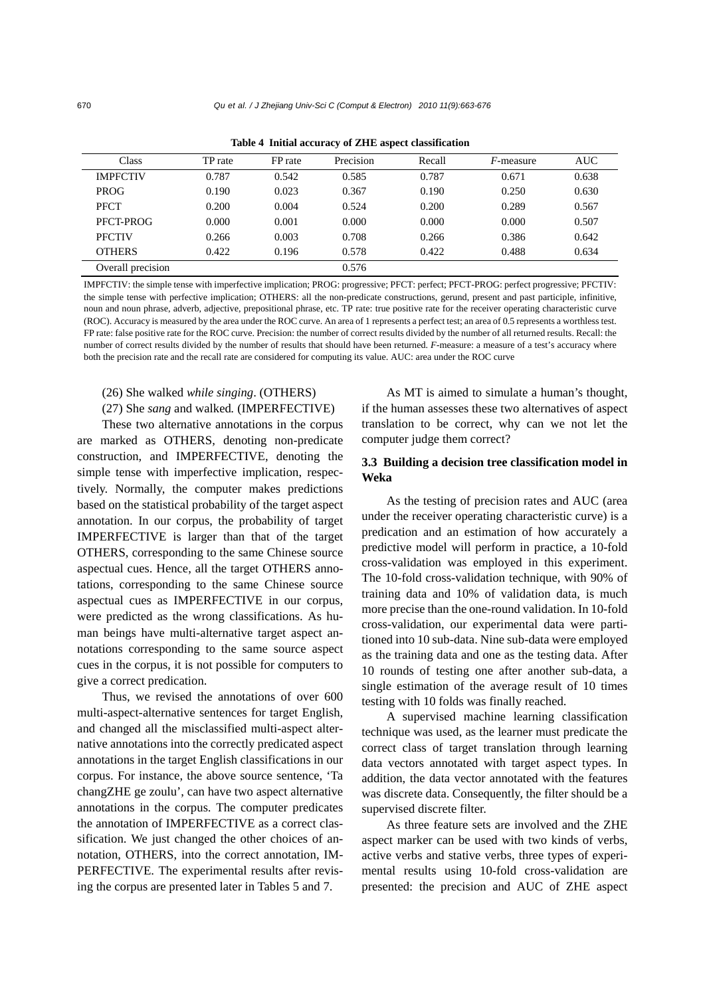| Tuble + Hilling accuracy of Efficial appect chappineation |         |         |           |        |              |       |  |
|-----------------------------------------------------------|---------|---------|-----------|--------|--------------|-------|--|
| Class                                                     | TP rate | FP rate | Precision | Recall | $F$ -measure | AUC   |  |
| <b>IMPFCTIV</b>                                           | 0.787   | 0.542   | 0.585     | 0.787  | 0.671        | 0.638 |  |
| <b>PROG</b>                                               | 0.190   | 0.023   | 0.367     | 0.190  | 0.250        | 0.630 |  |
| <b>PFCT</b>                                               | 0.200   | 0.004   | 0.524     | 0.200  | 0.289        | 0.567 |  |
| PFCT-PROG                                                 | 0.000   | 0.001   | 0.000     | 0.000  | 0.000        | 0.507 |  |
| <b>PFCTIV</b>                                             | 0.266   | 0.003   | 0.708     | 0.266  | 0.386        | 0.642 |  |
| <b>OTHERS</b>                                             | 0.422   | 0.196   | 0.578     | 0.422  | 0.488        | 0.634 |  |
| Overall precision                                         |         |         | 0.576     |        |              |       |  |

**Table 4 Initial accuracy of ZHE aspect classification** 

IMPFCTIV: the simple tense with imperfective implication; PROG: progressive; PFCT: perfect; PFCT-PROG: perfect progressive; PFCTIV: the simple tense with perfective implication; OTHERS: all the non-predicate constructions, gerund, present and past participle, infinitive, noun and noun phrase, adverb, adjective, prepositional phrase, etc. TP rate: true positive rate for the receiver operating characteristic curve (ROC). Accuracy is measured by the area under the ROC curve. An area of 1 represents a perfect test; an area of 0.5 represents a worthless test. FP rate: false positive rate for the ROC curve. Precision: the number of correct results divided by the number of all returned results. Recall: the number of correct results divided by the number of results that should have been returned. *F*-measure: a measure of a test's accuracy where both the precision rate and the recall rate are considered for computing its value. AUC: area under the ROC curve

# (26) She walked *while singing*. (OTHERS)

# (27) She *sang* and walked*.* (IMPERFECTIVE)

These two alternative annotations in the corpus are marked as OTHERS, denoting non-predicate construction, and IMPERFECTIVE, denoting the simple tense with imperfective implication, respectively. Normally, the computer makes predictions based on the statistical probability of the target aspect annotation. In our corpus, the probability of target IMPERFECTIVE is larger than that of the target OTHERS, corresponding to the same Chinese source aspectual cues. Hence, all the target OTHERS annotations, corresponding to the same Chinese source aspectual cues as IMPERFECTIVE in our corpus, were predicted as the wrong classifications. As human beings have multi-alternative target aspect annotations corresponding to the same source aspect cues in the corpus, it is not possible for computers to give a correct predication.

Thus, we revised the annotations of over 600 multi-aspect-alternative sentences for target English, and changed all the misclassified multi-aspect alternative annotations into the correctly predicated aspect annotations in the target English classifications in our corpus. For instance, the above source sentence, 'Ta changZHE ge zoulu', can have two aspect alternative annotations in the corpus. The computer predicates the annotation of IMPERFECTIVE as a correct classification. We just changed the other choices of annotation, OTHERS, into the correct annotation, IM-PERFECTIVE. The experimental results after revising the corpus are presented later in Tables 5 and 7.

As MT is aimed to simulate a human's thought, if the human assesses these two alternatives of aspect translation to be correct, why can we not let the computer judge them correct?

### **3.3 Building a decision tree classification model in Weka**

As the testing of precision rates and AUC (area under the receiver operating characteristic curve) is a predication and an estimation of how accurately a predictive model will perform in practice, a 10-fold cross-validation was employed in this experiment. The 10-fold cross-validation technique, with 90% of training data and 10% of validation data, is much more precise than the one-round validation. In 10-fold cross-validation, our experimental data were partitioned into 10 sub-data. Nine sub-data were employed as the training data and one as the testing data. After 10 rounds of testing one after another sub-data, a single estimation of the average result of 10 times testing with 10 folds was finally reached.

A supervised machine learning classification technique was used, as the learner must predicate the correct class of target translation through learning data vectors annotated with target aspect types. In addition, the data vector annotated with the features was discrete data. Consequently, the filter should be a supervised discrete filter.

As three feature sets are involved and the ZHE aspect marker can be used with two kinds of verbs, active verbs and stative verbs, three types of experimental results using 10-fold cross-validation are presented: the precision and AUC of ZHE aspect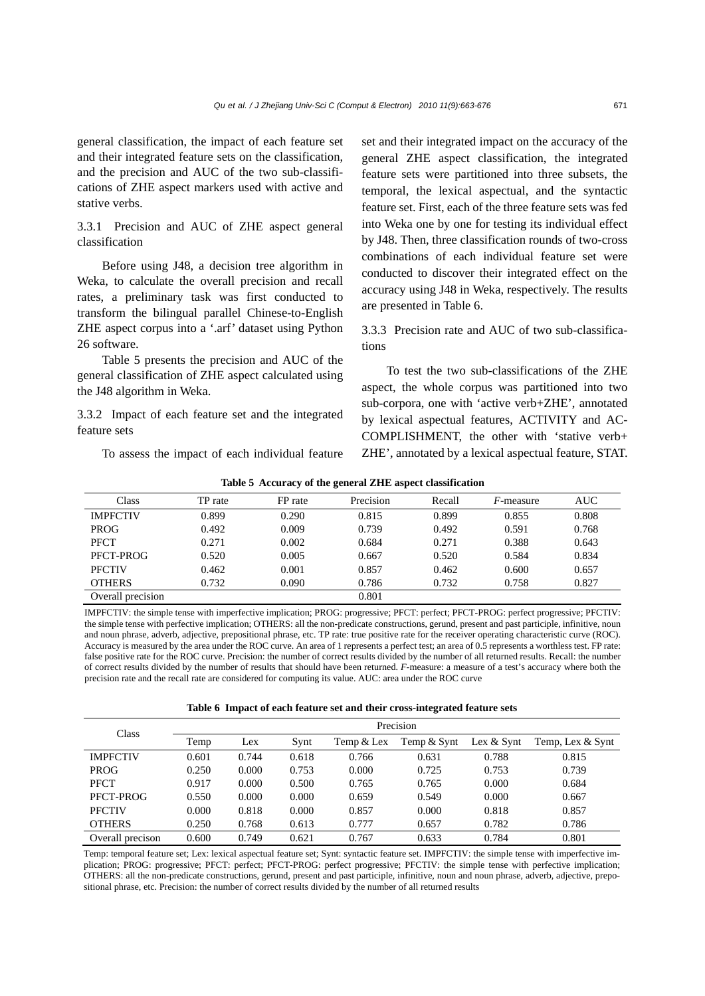general classification, the impact of each feature set and their integrated feature sets on the classification, and the precision and AUC of the two sub-classifications of ZHE aspect markers used with active and stative verbs.

3.3.1 Precision and AUC of ZHE aspect general classification

Before using J48, a decision tree algorithm in Weka, to calculate the overall precision and recall rates, a preliminary task was first conducted to transform the bilingual parallel Chinese-to-English ZHE aspect corpus into a '.arf' dataset using Python 26 software.

Table 5 presents the precision and AUC of the general classification of ZHE aspect calculated using the J48 algorithm in Weka.

3.3.2 Impact of each feature set and the integrated feature sets

To assess the impact of each individual feature

set and their integrated impact on the accuracy of the general ZHE aspect classification, the integrated feature sets were partitioned into three subsets, the temporal, the lexical aspectual, and the syntactic feature set. First, each of the three feature sets was fed into Weka one by one for testing its individual effect by J48. Then, three classification rounds of two-cross combinations of each individual feature set were conducted to discover their integrated effect on the accuracy using J48 in Weka, respectively. The results are presented in Table 6.

3.3.3 Precision rate and AUC of two sub-classifications

To test the two sub-classifications of the ZHE aspect, the whole corpus was partitioned into two sub-corpora, one with 'active verb+ZHE', annotated by lexical aspectual features, ACTIVITY and AC-COMPLISHMENT, the other with 'stative verb+ ZHE', annotated by a lexical aspectual feature, STAT.

|                   |         |         | $\cdot$   |        |              |       |
|-------------------|---------|---------|-----------|--------|--------------|-------|
| Class             | TP rate | FP rate | Precision | Recall | $F$ -measure | AUC   |
| <b>IMPFCTIV</b>   | 0.899   | 0.290   | 0.815     | 0.899  | 0.855        | 0.808 |
| <b>PROG</b>       | 0.492   | 0.009   | 0.739     | 0.492  | 0.591        | 0.768 |
| <b>PFCT</b>       | 0.271   | 0.002   | 0.684     | 0.271  | 0.388        | 0.643 |
| PFCT-PROG         | 0.520   | 0.005   | 0.667     | 0.520  | 0.584        | 0.834 |
| <b>PFCTIV</b>     | 0.462   | 0.001   | 0.857     | 0.462  | 0.600        | 0.657 |
| <b>OTHERS</b>     | 0.732   | 0.090   | 0.786     | 0.732  | 0.758        | 0.827 |
| Overall precision |         |         | 0.801     |        |              |       |

**Table 5 Accuracy of the general ZHE aspect classification** 

IMPFCTIV: the simple tense with imperfective implication; PROG: progressive; PFCT: perfect; PFCT-PROG: perfect progressive; PFCTIV: the simple tense with perfective implication; OTHERS: all the non-predicate constructions, gerund, present and past participle, infinitive, noun and noun phrase, adverb, adjective, prepositional phrase, etc. TP rate: true positive rate for the receiver operating characteristic curve (ROC). Accuracy is measured by the area under the ROC curve. An area of 1 represents a perfect test; an area of 0.5 represents a worthless test. FP rate: false positive rate for the ROC curve. Precision: the number of correct results divided by the number of all returned results. Recall: the number of correct results divided by the number of results that should have been returned. *F*-measure: a measure of a test's accuracy where both the precision rate and the recall rate are considered for computing its value. AUC: area under the ROC curve

|  |  | Table 6 Impact of each feature set and their cross-integrated feature sets |  |
|--|--|----------------------------------------------------------------------------|--|
|  |  |                                                                            |  |

| <b>Class</b>     | Precision |       |       |            |             |              |                  |  |
|------------------|-----------|-------|-------|------------|-------------|--------------|------------------|--|
|                  | Temp      | Lex   | Synt  | Temp & Lex | Temp & Synt | Lex $&$ Synt | Temp, Lex & Synt |  |
| <b>IMPFCTIV</b>  | 0.601     | 0.744 | 0.618 | 0.766      | 0.631       | 0.788        | 0.815            |  |
| <b>PROG</b>      | 0.250     | 0.000 | 0.753 | 0.000      | 0.725       | 0.753        | 0.739            |  |
| <b>PFCT</b>      | 0.917     | 0.000 | 0.500 | 0.765      | 0.765       | 0.000        | 0.684            |  |
| PFCT-PROG        | 0.550     | 0.000 | 0.000 | 0.659      | 0.549       | 0.000        | 0.667            |  |
| <b>PFCTIV</b>    | 0.000     | 0.818 | 0.000 | 0.857      | 0.000       | 0.818        | 0.857            |  |
| <b>OTHERS</b>    | 0.250     | 0.768 | 0.613 | 0.777      | 0.657       | 0.782        | 0.786            |  |
| Overall precison | 0.600     | 0.749 | 0.621 | 0.767      | 0.633       | 0.784        | 0.801            |  |

Temp: temporal feature set; Lex: lexical aspectual feature set; Synt: syntactic feature set. IMPFCTIV: the simple tense with imperfective implication; PROG: progressive; PFCT: perfect; PFCT-PROG: perfect progressive; PFCTIV: the simple tense with perfective implication; OTHERS: all the non-predicate constructions, gerund, present and past participle, infinitive, noun and noun phrase, adverb, adjective, prepositional phrase, etc. Precision: the number of correct results divided by the number of all returned results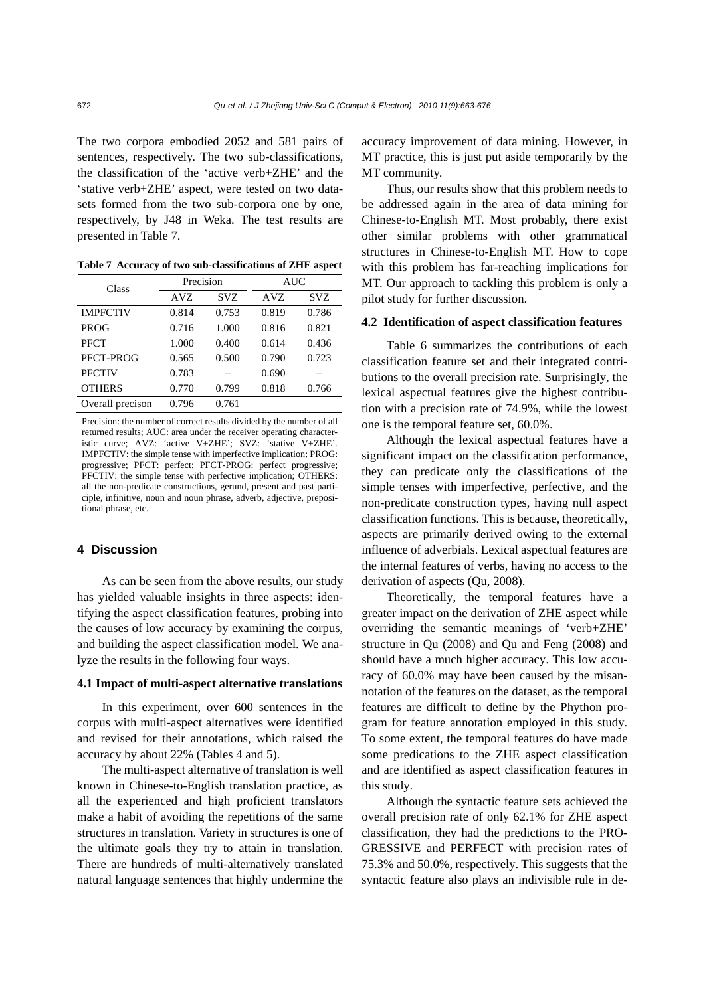The two corpora embodied 2052 and 581 pairs of sentences, respectively. The two sub-classifications, the classification of the 'active verb+ZHE' and the 'stative verb+ZHE' aspect, were tested on two datasets formed from the two sub-corpora one by one, respectively, by J48 in Weka. The test results are presented in Table 7.

**Table 7 Accuracy of two sub-classifications of ZHE aspect**

| Class            | Precision |       | <b>AUC</b> |       |  |
|------------------|-----------|-------|------------|-------|--|
|                  | AVZ.      | SVZ.  | AVZ        | SVZ.  |  |
| <b>IMPFCTIV</b>  | 0.814     | 0.753 | 0.819      | 0.786 |  |
| <b>PROG</b>      | 0.716     | 1.000 | 0.816      | 0.821 |  |
| <b>PFCT</b>      | 1.000     | 0.400 | 0.614      | 0.436 |  |
| PFCT-PROG        | 0.565     | 0.500 | 0.790      | 0.723 |  |
| <b>PFCTIV</b>    | 0.783     |       | 0.690      |       |  |
| <b>OTHERS</b>    | 0.770     | 0.799 | 0.818      | 0.766 |  |
| Overall precison | 0.796     | 0.761 |            |       |  |

Precision: the number of correct results divided by the number of all returned results; AUC: area under the receiver operating characteristic curve; AVZ: 'active V+ZHE'; SVZ: 'stative V+ZHE'. IMPFCTIV: the simple tense with imperfective implication; PROG: progressive; PFCT: perfect; PFCT-PROG: perfect progressive; PFCTIV: the simple tense with perfective implication; OTHERS: all the non-predicate constructions, gerund, present and past participle, infinitive, noun and noun phrase, adverb, adjective, prepositional phrase, etc.

# **4 Discussion**

As can be seen from the above results, our study has yielded valuable insights in three aspects: identifying the aspect classification features, probing into the causes of low accuracy by examining the corpus, and building the aspect classification model. We analyze the results in the following four ways.

### **4.1 Impact of multi-aspect alternative translations**

In this experiment, over 600 sentences in the corpus with multi-aspect alternatives were identified and revised for their annotations, which raised the accuracy by about 22% (Tables 4 and 5).

The multi-aspect alternative of translation is well known in Chinese-to-English translation practice, as all the experienced and high proficient translators make a habit of avoiding the repetitions of the same structures in translation. Variety in structures is one of the ultimate goals they try to attain in translation. There are hundreds of multi-alternatively translated natural language sentences that highly undermine the

accuracy improvement of data mining. However, in MT practice, this is just put aside temporarily by the MT community.

Thus, our results show that this problem needs to be addressed again in the area of data mining for Chinese-to-English MT. Most probably, there exist other similar problems with other grammatical structures in Chinese-to-English MT. How to cope with this problem has far-reaching implications for MT. Our approach to tackling this problem is only a pilot study for further discussion.

### **4.2 Identification of aspect classification features**

Table 6 summarizes the contributions of each classification feature set and their integrated contributions to the overall precision rate. Surprisingly, the lexical aspectual features give the highest contribution with a precision rate of 74.9%, while the lowest one is the temporal feature set, 60.0%.

Although the lexical aspectual features have a significant impact on the classification performance, they can predicate only the classifications of the simple tenses with imperfective, perfective, and the non-predicate construction types, having null aspect classification functions. This is because, theoretically, aspects are primarily derived owing to the external influence of adverbials. Lexical aspectual features are the internal features of verbs, having no access to the derivation of aspects (Qu, 2008).

Theoretically, the temporal features have a greater impact on the derivation of ZHE aspect while overriding the semantic meanings of 'verb+ZHE' structure in Qu (2008) and Qu and Feng (2008) and should have a much higher accuracy. This low accuracy of 60.0% may have been caused by the misannotation of the features on the dataset, as the temporal features are difficult to define by the Phython program for feature annotation employed in this study. To some extent, the temporal features do have made some predications to the ZHE aspect classification and are identified as aspect classification features in this study.

Although the syntactic feature sets achieved the overall precision rate of only 62.1% for ZHE aspect classification, they had the predictions to the PRO-GRESSIVE and PERFECT with precision rates of 75.3% and 50.0%, respectively. This suggests that the syntactic feature also plays an indivisible rule in de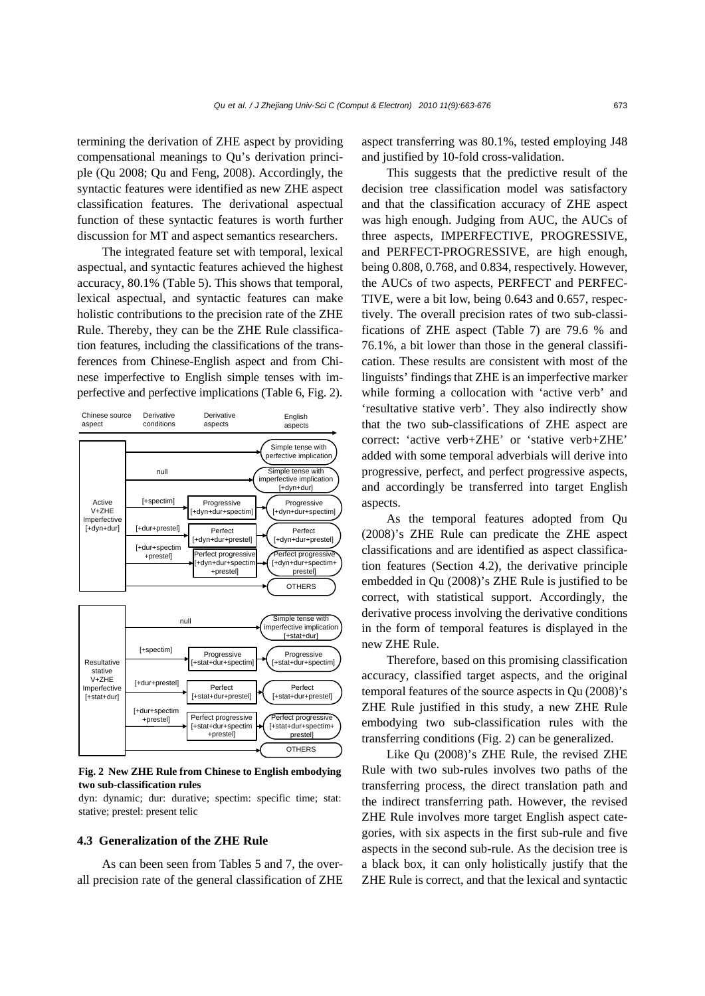termining the derivation of ZHE aspect by providing compensational meanings to Qu's derivation principle (Qu 2008; Qu and Feng, 2008). Accordingly, the syntactic features were identified as new ZHE aspect classification features. The derivational aspectual function of these syntactic features is worth further discussion for MT and aspect semantics researchers.

The integrated feature set with temporal, lexical aspectual, and syntactic features achieved the highest accuracy, 80.1% (Table 5). This shows that temporal, lexical aspectual, and syntactic features can make holistic contributions to the precision rate of the ZHE Rule. Thereby, they can be the ZHE Rule classification features, including the classifications of the transferences from Chinese-English aspect and from Chinese imperfective to English simple tenses with imperfective and perfective implications (Table 6, Fig. 2).



**Fig. 2 New ZHE Rule from Chinese to English embodying two sub-classification rules** 

dyn: dynamic; dur: durative; spectim: specific time; stat: stative; prestel: present telic

### **4.3 Generalization of the ZHE Rule**

As can been seen from Tables 5 and 7, the overall precision rate of the general classification of ZHE aspect transferring was 80.1%, tested employing J48 and justified by 10-fold cross-validation.

This suggests that the predictive result of the decision tree classification model was satisfactory and that the classification accuracy of ZHE aspect was high enough. Judging from AUC, the AUCs of three aspects, IMPERFECTIVE, PROGRESSIVE, and PERFECT-PROGRESSIVE, are high enough, being 0.808, 0.768, and 0.834, respectively. However, the AUCs of two aspects, PERFECT and PERFEC-TIVE, were a bit low, being 0.643 and 0.657, respectively. The overall precision rates of two sub-classifications of ZHE aspect (Table 7) are 79.6 % and 76.1%, a bit lower than those in the general classification. These results are consistent with most of the linguists' findings that ZHE is an imperfective marker while forming a collocation with 'active verb' and 'resultative stative verb'. They also indirectly show that the two sub-classifications of ZHE aspect are correct: 'active verb+ZHE' or 'stative verb+ZHE' added with some temporal adverbials will derive into progressive, perfect, and perfect progressive aspects, and accordingly be transferred into target English aspects.

As the temporal features adopted from Qu (2008)'s ZHE Rule can predicate the ZHE aspect classifications and are identified as aspect classification features (Section 4.2), the derivative principle embedded in Qu (2008)'s ZHE Rule is justified to be correct, with statistical support. Accordingly, the derivative process involving the derivative conditions in the form of temporal features is displayed in the new ZHE Rule.

Therefore, based on this promising classification accuracy, classified target aspects, and the original temporal features of the source aspects in Qu (2008)'s ZHE Rule justified in this study, a new ZHE Rule embodying two sub-classification rules with the transferring conditions (Fig. 2) can be generalized.

Like Qu (2008)'s ZHE Rule, the revised ZHE Rule with two sub-rules involves two paths of the transferring process, the direct translation path and the indirect transferring path. However, the revised ZHE Rule involves more target English aspect categories, with six aspects in the first sub-rule and five aspects in the second sub-rule. As the decision tree is a black box, it can only holistically justify that the ZHE Rule is correct, and that the lexical and syntactic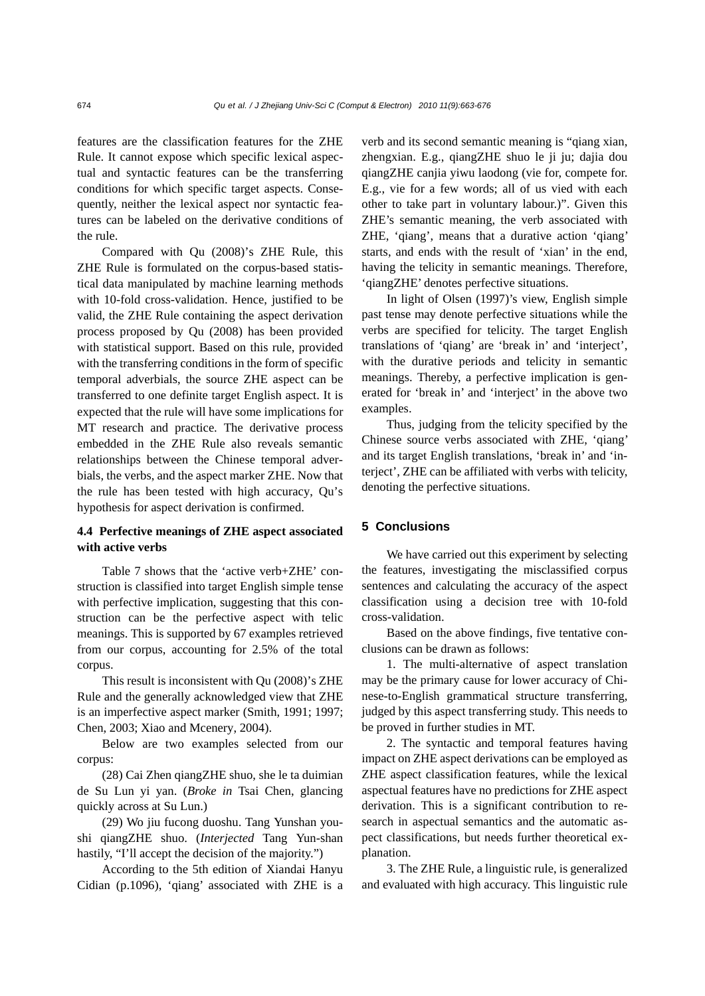features are the classification features for the ZHE Rule. It cannot expose which specific lexical aspectual and syntactic features can be the transferring conditions for which specific target aspects. Consequently, neither the lexical aspect nor syntactic features can be labeled on the derivative conditions of the rule.

Compared with Qu (2008)'s ZHE Rule, this ZHE Rule is formulated on the corpus-based statistical data manipulated by machine learning methods with 10-fold cross-validation. Hence, justified to be valid, the ZHE Rule containing the aspect derivation process proposed by Qu (2008) has been provided with statistical support. Based on this rule, provided with the transferring conditions in the form of specific temporal adverbials, the source ZHE aspect can be transferred to one definite target English aspect. It is expected that the rule will have some implications for MT research and practice. The derivative process embedded in the ZHE Rule also reveals semantic relationships between the Chinese temporal adverbials, the verbs, and the aspect marker ZHE. Now that the rule has been tested with high accuracy, Qu's hypothesis for aspect derivation is confirmed.

# **4.4 Perfective meanings of ZHE aspect associated with active verbs**

Table 7 shows that the 'active verb+ZHE' construction is classified into target English simple tense with perfective implication, suggesting that this construction can be the perfective aspect with telic meanings. This is supported by 67 examples retrieved from our corpus, accounting for 2.5% of the total corpus.

This result is inconsistent with Qu (2008)'s ZHE Rule and the generally acknowledged view that ZHE is an imperfective aspect marker (Smith, 1991; 1997; Chen, 2003; Xiao and Mcenery, 2004).

Below are two examples selected from our corpus:

(28) Cai Zhen qiangZHE shuo, she le ta duimian de Su Lun yi yan. (*Broke in* Tsai Chen, glancing quickly across at Su Lun.)

(29) Wo jiu fucong duoshu. Tang Yunshan youshi qiangZHE shuo. (*Interjected* Tang Yun-shan hastily, "I'll accept the decision of the majority.")

According to the 5th edition of Xiandai Hanyu Cidian (p.1096), 'qiang' associated with ZHE is a verb and its second semantic meaning is "qiang xian, zhengxian. E.g., qiangZHE shuo le ji ju; dajia dou qiangZHE canjia yiwu laodong (vie for, compete for. E.g., vie for a few words; all of us vied with each other to take part in voluntary labour.)". Given this ZHE's semantic meaning, the verb associated with ZHE, 'qiang', means that a durative action 'qiang' starts, and ends with the result of 'xian' in the end, having the telicity in semantic meanings. Therefore, 'qiangZHE' denotes perfective situations.

In light of Olsen (1997)'s view, English simple past tense may denote perfective situations while the verbs are specified for telicity. The target English translations of 'qiang' are 'break in' and 'interject', with the durative periods and telicity in semantic meanings. Thereby, a perfective implication is generated for 'break in' and 'interject' in the above two examples.

Thus, judging from the telicity specified by the Chinese source verbs associated with ZHE, 'qiang' and its target English translations, 'break in' and 'interject', ZHE can be affiliated with verbs with telicity, denoting the perfective situations.

## **5 Conclusions**

We have carried out this experiment by selecting the features, investigating the misclassified corpus sentences and calculating the accuracy of the aspect classification using a decision tree with 10-fold cross-validation.

Based on the above findings, five tentative conclusions can be drawn as follows:

1. The multi-alternative of aspect translation may be the primary cause for lower accuracy of Chinese-to-English grammatical structure transferring, judged by this aspect transferring study. This needs to be proved in further studies in MT.

2. The syntactic and temporal features having impact on ZHE aspect derivations can be employed as ZHE aspect classification features, while the lexical aspectual features have no predictions for ZHE aspect derivation. This is a significant contribution to research in aspectual semantics and the automatic aspect classifications, but needs further theoretical explanation.

3. The ZHE Rule, a linguistic rule, is generalized and evaluated with high accuracy. This linguistic rule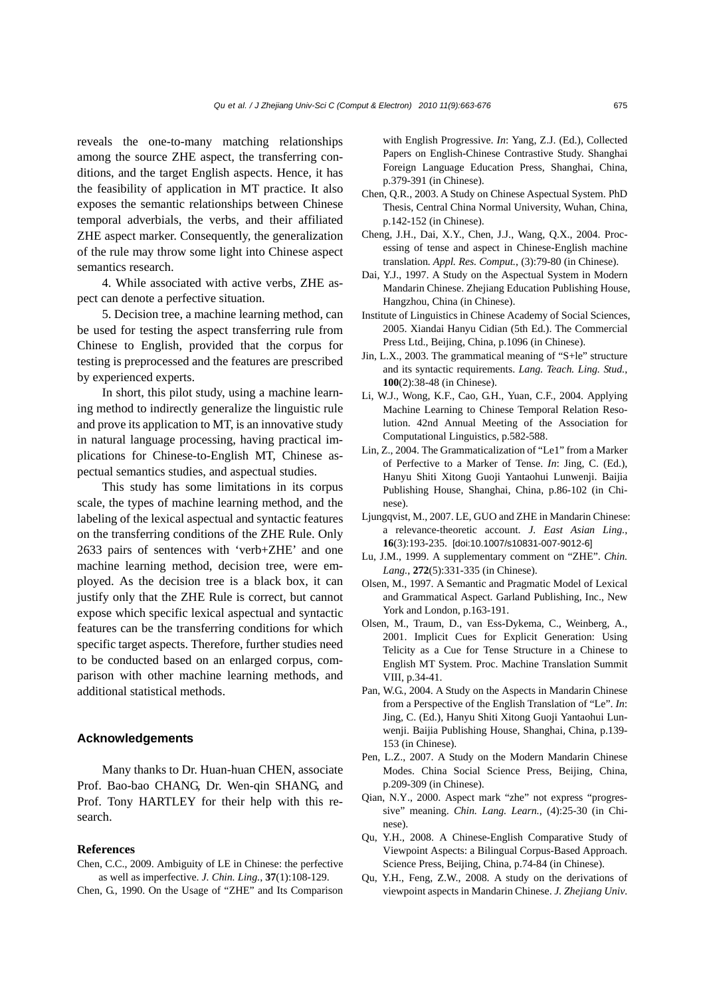reveals the one-to-many matching relationships among the source ZHE aspect, the transferring conditions, and the target English aspects. Hence, it has the feasibility of application in MT practice. It also exposes the semantic relationships between Chinese temporal adverbials, the verbs, and their affiliated ZHE aspect marker. Consequently, the generalization of the rule may throw some light into Chinese aspect semantics research.

4. While associated with active verbs, ZHE aspect can denote a perfective situation.

5. Decision tree, a machine learning method, can be used for testing the aspect transferring rule from Chinese to English, provided that the corpus for testing is preprocessed and the features are prescribed by experienced experts.

In short, this pilot study, using a machine learning method to indirectly generalize the linguistic rule and prove its application to MT, is an innovative study in natural language processing, having practical implications for Chinese-to-English MT, Chinese aspectual semantics studies, and aspectual studies.

This study has some limitations in its corpus scale, the types of machine learning method, and the labeling of the lexical aspectual and syntactic features on the transferring conditions of the ZHE Rule. Only 2633 pairs of sentences with 'verb+ZHE' and one machine learning method, decision tree, were employed. As the decision tree is a black box, it can justify only that the ZHE Rule is correct, but cannot expose which specific lexical aspectual and syntactic features can be the transferring conditions for which specific target aspects. Therefore, further studies need to be conducted based on an enlarged corpus, comparison with other machine learning methods, and additional statistical methods.

### **Acknowledgements**

Many thanks to Dr. Huan-huan CHEN, associate Prof. Bao-bao CHANG, Dr. Wen-qin SHANG, and Prof. Tony HARTLEY for their help with this research.

#### **References**

Chen, C.C., 2009. Ambiguity of LE in Chinese: the perfective as well as imperfective. *J. Chin. Ling.*, **37**(1):108-129.

Chen, G., 1990. On the Usage of "ZHE" and Its Comparison

with English Progressive. *In*: Yang, Z.J. (Ed.), Collected Papers on English-Chinese Contrastive Study. Shanghai Foreign Language Education Press, Shanghai, China, p.379-391 (in Chinese).

- Chen, Q.R., 2003. A Study on Chinese Aspectual System. PhD Thesis, Central China Normal University, Wuhan, China, p.142-152 (in Chinese).
- Cheng, J.H., Dai, X.Y., Chen, J.J., Wang, Q.X., 2004. Processing of tense and aspect in Chinese-English machine translation*. Appl. Res. Comput.*, (3):79-80 (in Chinese).
- Dai, Y.J., 1997. A Study on the Aspectual System in Modern Mandarin Chinese. Zhejiang Education Publishing House, Hangzhou, China (in Chinese).
- Institute of Linguistics in Chinese Academy of Social Sciences, 2005. Xiandai Hanyu Cidian (5th Ed.). The Commercial Press Ltd., Beijing, China, p.1096 (in Chinese).
- Jin, L.X., 2003. The grammatical meaning of "S+le" structure and its syntactic requirements. *Lang. Teach. Ling. Stud.*, **100**(2):38-48 (in Chinese).
- Li, W.J., Wong, K.F., Cao, G.H., Yuan, C.F., 2004. Applying Machine Learning to Chinese Temporal Relation Resolution. 42nd Annual Meeting of the Association for Computational Linguistics, p.582-588.
- Lin, Z., 2004. The Grammaticalization of "Le1" from a Marker of Perfective to a Marker of Tense. *In*: Jing, C. (Ed.), Hanyu Shiti Xitong Guoji Yantaohui Lunwenji. Baijia Publishing House, Shanghai, China, p.86-102 (in Chinese).
- Ljungqvist, M., 2007. LE, GUO and ZHE in Mandarin Chinese: a relevance-theoretic account. *J. East Asian Ling.*, **16**(3):193-235. [doi:10.1007/s10831-007-9012-6]
- Lu, J.M., 1999. A supplementary comment on "ZHE". *Chin. Lang.*, **272**(5):331-335 (in Chinese).
- Olsen, M., 1997. A Semantic and Pragmatic Model of Lexical and Grammatical Aspect. Garland Publishing, Inc., New York and London, p.163-191.
- Olsen, M., Traum, D., van Ess-Dykema, C., Weinberg, A., 2001. Implicit Cues for Explicit Generation: Using Telicity as a Cue for Tense Structure in a Chinese to English MT System. Proc. Machine Translation Summit VIII, p.34-41.
- Pan, W.G., 2004. A Study on the Aspects in Mandarin Chinese from a Perspective of the English Translation of "Le". *In*: Jing, C. (Ed.), Hanyu Shiti Xitong Guoji Yantaohui Lunwenji. Baijia Publishing House, Shanghai, China, p.139- 153 (in Chinese).
- Pen, L.Z., 2007. A Study on the Modern Mandarin Chinese Modes. China Social Science Press, Beijing, China, p.209-309 (in Chinese).
- Qian, N.Y., 2000. Aspect mark "zhe" not express "progressive" meaning. *Chin. Lang. Learn.*, (4):25-30 (in Chinese).
- Qu, Y.H., 2008. A Chinese-English Comparative Study of Viewpoint Aspects: a Bilingual Corpus-Based Approach. Science Press, Beijing, China, p.74-84 (in Chinese).
- Qu, Y.H., Feng, Z.W., 2008. A study on the derivations of viewpoint aspects in Mandarin Chinese. *J. Zhejiang Univ.*